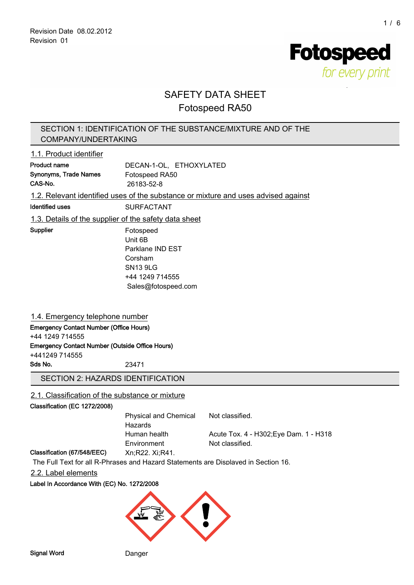**Fotospeed** for every print

# SAFETY DATA SHEET

# Fotospeed RA50

# SECTION 1: IDENTIFICATION OF THE SUBSTANCE/MIXTURE AND OF THE COMPANY/UNDERTAKING

# 1.1. Product identifier

| Product name          | DECAN-1-OL. ETHOXYLATED |
|-----------------------|-------------------------|
| Synonyms, Trade Names | Fotospeed RA50          |
| CAS-No.               | 26183-52-8              |
|                       |                         |

1.2. Relevant identified uses of the substance or mixture and uses advised against

#### Identified uses SURFACTANT

1.3. Details of the supplier of the safety data sheet

Supplier Fotospeed Unit 6B Parklane IND EST Corsham SN13 9LG +44 1249 714555 Sales@fotospeed.com

# 1.4. Emergency telephone number

Emergency Contact Number (Office Hours) +44 1249 714555 Emergency Contact Number (Outside Office Hours)

+441249 714555

Sds No. 23471

# SECTION 2: HAZARDS IDENTIFICATION

# 2.1. Classification of the substance or mixture

#### Classification (EC 1272/2008)

| Physical and Chemical<br>Hazards | Not classified.                        |
|----------------------------------|----------------------------------------|
| Human health                     | Acute Tox. 4 - H302; Eye Dam. 1 - H318 |
| Environment                      | Not classified.                        |

#### Classification (67/548/EEC) Xn;R22. Xi;R41.

The Full Text for all R-Phrases and Hazard Statements are Displayed in Section 16.

#### 2.2. Label elements

#### Label In Accordance With (EC) No. 1272/2008

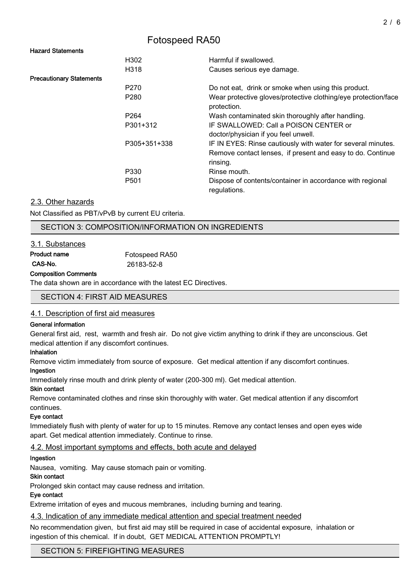#### Hazard Statements

|                                 | H302             | Harmful if swallowed.                                                         |
|---------------------------------|------------------|-------------------------------------------------------------------------------|
|                                 | H318             | Causes serious eye damage.                                                    |
| <b>Precautionary Statements</b> |                  |                                                                               |
|                                 | P <sub>270</sub> | Do not eat, drink or smoke when using this product.                           |
|                                 | P <sub>280</sub> | Wear protective gloves/protective clothing/eye protection/face<br>protection. |
|                                 | P <sub>264</sub> | Wash contaminated skin thoroughly after handling.                             |
|                                 | P301+312         | IF SWALLOWED: Call a POISON CENTER or<br>doctor/physician if you feel unwell. |
|                                 | P305+351+338     | IF IN EYES: Rinse cautiously with water for several minutes.                  |
|                                 |                  | Remove contact lenses, if present and easy to do. Continue<br>rinsing.        |
|                                 | P330             | Rinse mouth.                                                                  |
|                                 | P <sub>501</sub> | Dispose of contents/container in accordance with regional<br>regulations.     |

#### 2.3. Other hazards

Not Classified as PBT/vPvB by current EU criteria.

# SECTION 3: COMPOSITION/INFORMATION ON INGREDIENTS

#### 3.1. Substances

| Product name | Fotospeed RA50 |
|--------------|----------------|
| CAS-No.      | 26183-52-8     |

#### Composition Comments

The data shown are in accordance with the latest EC Directives.

#### SECTION 4: FIRST AID MEASURES

#### 4.1. Description of first aid measures

#### General information

General first aid, rest, warmth and fresh air. Do not give victim anything to drink if they are unconscious. Get medical attention if any discomfort continues.

#### Inhalation

Remove victim immediately from source of exposure. Get medical attention if any discomfort continues.

#### Ingestion

Immediately rinse mouth and drink plenty of water (200-300 ml). Get medical attention.

#### Skin contact

Remove contaminated clothes and rinse skin thoroughly with water. Get medical attention if any discomfort continues.

#### Eye contact

Immediately flush with plenty of water for up to 15 minutes. Remove any contact lenses and open eyes wide apart. Get medical attention immediately. Continue to rinse.

# 4.2. Most important symptoms and effects, both acute and delayed

#### Ingestion

Nausea, vomiting. May cause stomach pain or vomiting.

#### Skin contact

Prolonged skin contact may cause redness and irritation.

#### Eye contact

Extreme irritation of eyes and mucous membranes, including burning and tearing.

#### 4.3. Indication of any immediate medical attention and special treatment needed

No recommendation given, but first aid may still be required in case of accidental exposure, inhalation or ingestion of this chemical. If in doubt, GET MEDICAL ATTENTION PROMPTLY!

SECTION 5: FIREFIGHTING MEASURES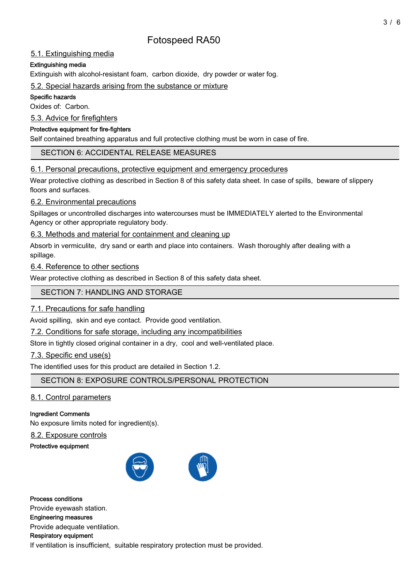# 5.1. Extinguishing media

# Extinguishing media

Extinguish with alcohol-resistant foam, carbon dioxide, dry powder or water fog.

#### 5.2. Special hazards arising from the substance or mixture

#### Specific hazards

Oxides of: Carbon.

5.3. Advice for firefighters

#### Protective equipment for fire-fighters

Self contained breathing apparatus and full protective clothing must be worn in case of fire.

# SECTION 6: ACCIDENTAL RELEASE MEASURES

# 6.1. Personal precautions, protective equipment and emergency procedures

Wear protective clothing as described in Section 8 of this safety data sheet. In case of spills, beware of slippery floors and surfaces.

# 6.2. Environmental precautions

Spillages or uncontrolled discharges into watercourses must be IMMEDIATELY alerted to the Environmental Agency or other appropriate regulatory body.

# 6.3. Methods and material for containment and cleaning up

Absorb in vermiculite, dry sand or earth and place into containers. Wash thoroughly after dealing with a spillage.

# 6.4. Reference to other sections

Wear protective clothing as described in Section 8 of this safety data sheet.

# SECTION 7: HANDLING AND STORAGE

# 7.1. Precautions for safe handling

Avoid spilling, skin and eye contact. Provide good ventilation.

7.2. Conditions for safe storage, including any incompatibilities

Store in tightly closed original container in a dry, cool and well-ventilated place.

# 7.3. Specific end use(s)

The identified uses for this product are detailed in Section 1.2.

SECTION 8: EXPOSURE CONTROLS/PERSONAL PROTECTION

# 8.1. Control parameters

# Ingredient Comments

No exposure limits noted for ingredient(s).

# 8.2. Exposure controls

#### Protective equipment



Process conditions Provide eyewash station. Engineering measures Provide adequate ventilation. Respiratory equipment If ventilation is insufficient, suitable respiratory protection must be provided.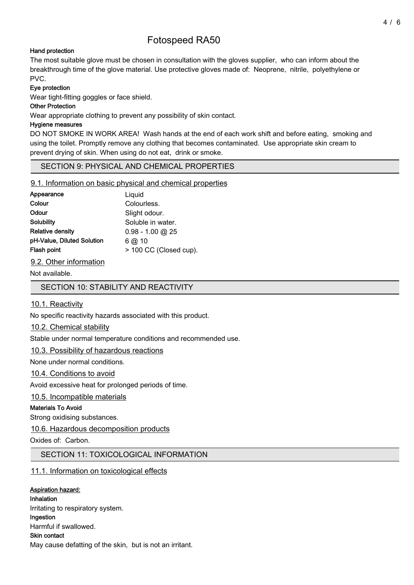#### Hand protection

The most suitable glove must be chosen in consultation with the gloves supplier, who can inform about the breakthrough time of the glove material. Use protective gloves made of: Neoprene, nitrile, polyethylene or PVC.

#### Eye protection

Wear tight-fitting goggles or face shield.

#### Other Protection

Wear appropriate clothing to prevent any possibility of skin contact.

#### Hygiene measures

DO NOT SMOKE IN WORK AREA! Wash hands at the end of each work shift and before eating, smoking and using the toilet. Promptly remove any clothing that becomes contaminated. Use appropriate skin cream to prevent drying of skin. When using do not eat, drink or smoke.

# SECTION 9: PHYSICAL AND CHEMICAL PROPERTIES

#### 9.1. Information on basic physical and chemical properties

| Appearance                 | Liquid                 |
|----------------------------|------------------------|
| Colour                     | Colourless.            |
| Odour                      | Slight odour.          |
| Solubility                 | Soluble in water.      |
| Relative densitv           | $0.98 - 1.00$ @ 25     |
| pH-Value, Diluted Solution | $6$ @ 10               |
| Flash point                | > 100 CC (Closed cup). |
|                            |                        |

9.2. Other information

Not available.

SECTION 10: STABILITY AND REACTIVITY

# 10.1. Reactivity

No specific reactivity hazards associated with this product.

# 10.2. Chemical stability

Stable under normal temperature conditions and recommended use.

# 10.3. Possibility of hazardous reactions

None under normal conditions.

# 10.4. Conditions to avoid

Avoid excessive heat for prolonged periods of time.

# 10.5. Incompatible materials

# Materials To Avoid

Strong oxidising substances.

# 10.6. Hazardous decomposition products

Oxides of: Carbon.

# SECTION 11: TOXICOLOGICAL INFORMATION

# 11.1. Information on toxicological effects

# Aspiration hazard:

Inhalation Irritating to respiratory system. Ingestion Harmful if swallowed. Skin contact May cause defatting of the skin, but is not an irritant.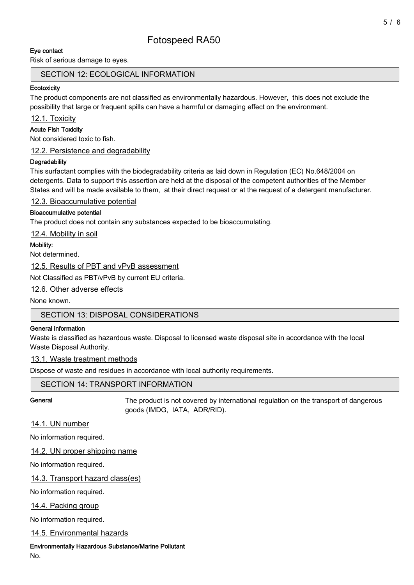#### Eye contact

Risk of serious damage to eyes.

#### SECTION 12: ECOLOGICAL INFORMATION

#### **Ecotoxicity**

The product components are not classified as environmentally hazardous. However, this does not exclude the possibility that large or frequent spills can have a harmful or damaging effect on the environment.

12.1. Toxicity

#### Acute Fish Toxicity

Not considered toxic to fish.

12.2. Persistence and degradability

#### **Degradability**

This surfactant complies with the biodegradability criteria as laid down in Regulation (EC) No.648/2004 on detergents. Data to support this assertion are held at the disposal of the competent authorities of the Member States and will be made available to them, at their direct request or at the request of a detergent manufacturer.

12.3. Bioaccumulative potential

#### Bioaccumulative potential

The product does not contain any substances expected to be bioaccumulating.

12.4. Mobility in soil

#### Mobility:

Not determined.

12.5. Results of PBT and vPvB assessment

Not Classified as PBT/vPvB by current EU criteria.

12.6. Other adverse effects

None known.

# SECTION 13: DISPOSAL CONSIDERATIONS

#### General information

Waste is classified as hazardous waste. Disposal to licensed waste disposal site in accordance with the local Waste Disposal Authority.

#### 13.1. Waste treatment methods

Dispose of waste and residues in accordance with local authority requirements.

# SECTION 14: TRANSPORT INFORMATION

General The product is not covered by international regulation on the transport of dangerous goods (IMDG, IATA, ADR/RID).

# 14.1. UN number

No information required.

14.2. UN proper shipping name

No information required.

14.3. Transport hazard class(es)

No information required.

14.4. Packing group

No information required.

14.5. Environmental hazards

Environmentally Hazardous Substance/Marine Pollutant

No.